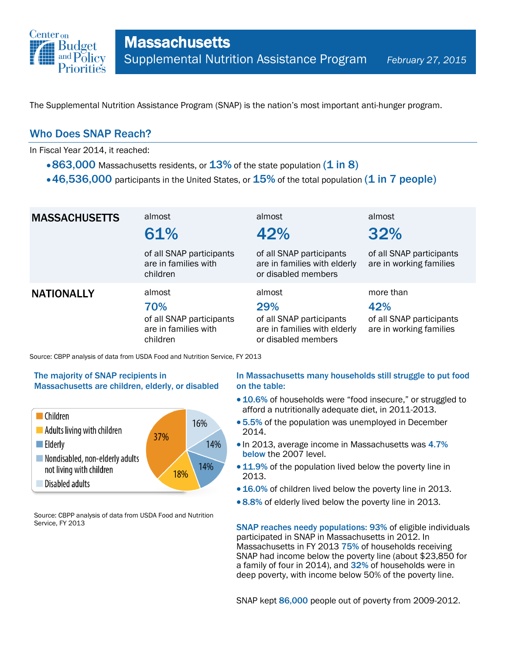

The Supplemental Nutrition Assistance Program (SNAP) is the nation's most important anti-hunger program.

### Who Does SNAP Reach?

In Fiscal Year 2014, it reached:

- $\cdot$  863,000 Massachusetts residents, or  $13\%$  of the state population (1 in 8)
- $\cdot$  46,536,000 participants in the United States, or  $15\%$  of the total population (1 in 7 people)

| <b>MASSACHUSETTS</b> | almost<br>61%                                                                 | almost<br>42%                                                                                    | almost<br>32%                                                           |
|----------------------|-------------------------------------------------------------------------------|--------------------------------------------------------------------------------------------------|-------------------------------------------------------------------------|
|                      | of all SNAP participants<br>are in families with<br>children                  | of all SNAP participants<br>are in families with elderly<br>or disabled members                  | of all SNAP participants<br>are in working families                     |
| <b>NATIONALLY</b>    | almost<br>70%<br>of all SNAP participants<br>are in families with<br>children | almost<br>29%<br>of all SNAP participants<br>are in families with elderly<br>or disabled members | more than<br>42%<br>of all SNAP participants<br>are in working families |

Source: CBPP analysis of data from USDA Food and Nutrition Service, FY 2013

#### The majority of SNAP recipients in Massachusetts are children, elderly, or disabled



Source: CBPP analysis of data from USDA Food and Nutrition Service, FY 2013

#### In Massachusetts many households still struggle to put food on the table:

- 10.6% of households were "food insecure," or struggled to afford a nutritionally adequate diet, in 2011-2013.
- 5.5% of the population was unemployed in December 2014.
- In 2013, average income in Massachusetts was 4.7% below the 2007 level.
- 11.9% of the population lived below the poverty line in 2013.
- 16.0% of children lived below the poverty line in 2013.
- 8.8% of elderly lived below the poverty line in 2013.

SNAP reaches needy populations: 93% of eligible individuals participated in SNAP in Massachusetts in 2012. In Massachusetts in FY 2013 75% of households receiving SNAP had income below the poverty line (about \$23,850 for a family of four in 2014), and 32% of households were in deep poverty, with income below 50% of the poverty line.

SNAP kept 86,000 people out of poverty from 2009-2012.